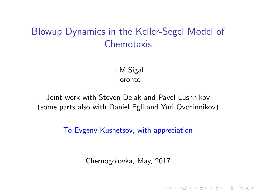# <span id="page-0-0"></span>Blowup Dynamics in the Keller-Segel Model of **Chemotaxis**

I.M.Sigal Toronto

Joint work with Steven Dejak and Pavel Lushnikov (some parts also with Daniel Egli and Yuri Ovchinnikov)

To Evgeny Kusnetsov, with appreciation

Chernogolovka, May, 2017

4 D > 4 P + 4 B + 4 B + B + 9 Q O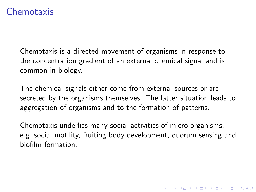### Chemotaxis

Chemotaxis is a directed movement of organisms in response to the concentration gradient of an external chemical signal and is common in biology.

The chemical signals either come from external sources or are secreted by the organisms themselves. The latter situation leads to aggregation of organisms and to the formation of patterns.

Chemotaxis underlies many social activities of micro-organisms, e.g. social motility, fruiting body development, quorum sensing and biofilm formation.

4 D > 4 P + 4 B + 4 B + B + 9 Q O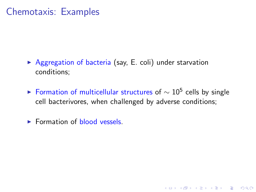## Chemotaxis: Examples

- $\triangleright$  Aggregation of bacteria (say, E. coli) under starvation conditions;
- ► Formation of multicellular structures of  $\sim 10^5$  cells by single cell bacterivores, when challenged by adverse conditions;

**K ロ ▶ K @ ▶ K 할 X X 할 X → 할 X → 9 Q Q ^** 

 $\blacktriangleright$  Formation of blood vessels.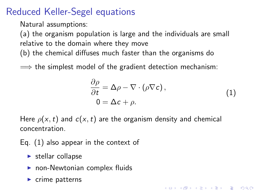## <span id="page-3-1"></span>Reduced Keller-Segel equations

Natural assumptions:

(a) the organism population is large and the individuals are small relative to the domain where they move (b) the chemical diffuses much faster than the organisms do

 $\implies$  the simplest model of the gradient detection mechanism:

$$
\frac{\partial \rho}{\partial t} = \Delta \rho - \nabla \cdot (\rho \nabla c), \n0 = \Delta c + \rho.
$$
\n(1)

4 D > 4 P + 4 B + 4 B + B + 9 Q O

<span id="page-3-0"></span>Here  $\rho(x, t)$  and  $c(x, t)$  are the organism density and chemical concentration.

Eq. [\(1\)](#page-3-0) also appear in the context of

- $\blacktriangleright$  stellar collapse
- $\blacktriangleright$  non-Newtonian complex fluids
- $\blacktriangleright$  crime patterns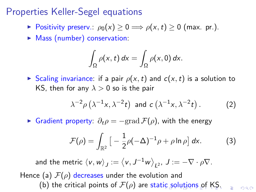## <span id="page-4-0"></span>Properties Keller-Segel equations

- ► Positivity preserv.:  $\rho_0(x) \geq 0 \Longrightarrow \rho(x, t) \geq 0$  (max. pr.).
- $\blacktriangleright$  Mass (number) conservation:

$$
\int_{\Omega} \rho(x,t) dx = \int_{\Omega} \rho(x,0) dx.
$$

Scaling invariance: if a pair  $\rho(x, t)$  and  $c(x, t)$  is a solution to KS, then for any  $\lambda > 0$  so is the pair

$$
\lambda^{-2} \rho \left( \lambda^{-1} x, \lambda^{-2} t \right) \text{ and } c \left( \lambda^{-1} x, \lambda^{-2} t \right). \tag{2}
$$

► Gradient property:  $\partial_t \rho = -\text{grad }\mathcal{F}(\rho)$ , with the energy

$$
\mathcal{F}(\rho) = \int_{\mathbb{R}^2} \left[ -\frac{1}{2}\rho(-\Delta)^{-1}\rho + \rho \ln \rho \right] dx.
$$
 (3)

 $=$   $\Omega$ 

and the metric  $\langle v, w \rangle_J := \langle v, J^{-1}w \rangle_{L^2}, J := -\nabla \cdot \rho \nabla.$ Hence (a)  $\mathcal{F}(\rho)$  decreases under the evolution and (b) the crit[ic](#page-3-1)al p[o](#page-5-0)ints [of](#page-22-0)  $\mathcal{F}(\rho)$  are static [sol](#page-5-0)[u](#page-3-1)[ti](#page-4-0)o[ns](#page-0-0) of [K](#page-0-0)[S.](#page-22-0)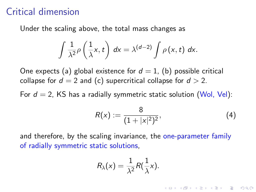#### <span id="page-5-0"></span>Critical dimension

Under the scaling above, the total mass changes as

$$
\int \frac{1}{\lambda^2} \rho\left(\frac{1}{\lambda}x, t\right) dx = \lambda^{(d-2)} \int \rho(x, t) dx.
$$

One expects (a) global existence for  $d = 1$ , (b) possible critical collapse for  $d = 2$  and (c) supercritical collapse for  $d > 2$ .

For  $d = 2$ , KS has a radially symmetric static solution (Wol, Vel):

$$
R(x) := \frac{8}{(1+|x|^2)^2},\tag{4}
$$

**KORKAR KERKER EL VOLO** 

and therefore, by the scaling invariance, the one-parameter family of radially symmetric static solutions,

$$
R_{\lambda}(x)=\frac{1}{\lambda^2}R(\frac{1}{\lambda}x).
$$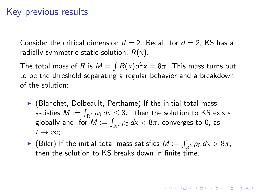## Key previous results

Consider the critical dimension  $d = 2$ . Recall, for  $d = 2$ , KS has a radially symmetric static solution,  $R(x)$ .

The total mass of R is  $M = \int R(x) d^2x = 8\pi$ . This mass turns out to be the threshold separating a regular behavior and a breakdown of the solution:

- $\blacktriangleright$  (Blanchet, Dolbeault, Perthame) If the initial total mass satisfies  $M:=\int_{\mathbb{R}^2} \rho_0\,dx \leq 8\pi$ , then the solution to KS exists globally and, for  $M:=\int_{\mathbb{R}^2} \rho_0\,d\mathsf{x} < 8\pi$ , converges to 0, as  $t\to\infty$ :
- $\blacktriangleright$  (Biler) If the initial total mass satisfies  $M:=\int_{\mathbb{R}^2}\rho_0\,dx> 8\pi,$ then the solution to KS breaks down in finite time.

**AD A 4 4 4 5 A 5 A 5 A 4 D A 4 D A 4 P A 4 5 A 4 5 A 5 A 4 A 4 A 4 A**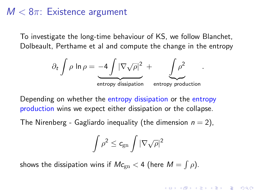### $M < 8\pi$ : Existence argument

To investigate the long-time behaviour of KS, we follow Blanchet, Dolbeault, Perthame et al and compute the change in the entropy

$$
\partial_t \int \rho \ln \rho = -4 \int |\nabla \sqrt{\rho}|^2 + \int \rho^2
$$
  
entropy dissipation entropy production

.

**KORKAR KERKER EL VOLO** 

Depending on whether the entropy dissipation or the entropy production wins we expect either dissipation or the collapse.

The Nirenberg - Gagliardo inequality (the dimension  $n = 2$ ),

$$
\int \rho^2 \leq c_{\text{gn}} \int |\nabla \sqrt{\rho}|^2
$$

shows the dissipation wins if  $\mathit{Mc}_{\mathrm{gn}} < 4$  (here  $\mathit{M} = \int \rho$ ).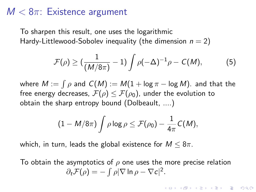### $M < 8\pi$ : Existence argument

To sharpen this result, one uses the logarithmic Hardy-Littlewood-Sobolev inequality (the dimension  $n = 2$ )

$$
\mathcal{F}(\rho) \ge \left(\frac{1}{(M/8\pi)} - 1\right) \int \rho(-\Delta)^{-1} \rho - C(M),\tag{5}
$$

where  $M := \int \rho$  and  $\,\mathcal{C}(M) := M(1 + \log \pi - \log M).$  and that the free energy decreases,  $\mathcal{F}(\rho) \leq \mathcal{F}(\rho_0)$ , under the evolution to obtain the sharp entropy bound (Dolbeault, ....)

$$
(1-M/8\pi)\int \rho \log \rho \leq \mathcal{F}(\rho_0)-\frac{1}{4\pi}C(M),
$$

which, in turn, leads the global existence for  $M \leq 8\pi$ .

To obtain the asymptotics of  $\rho$  one uses the more precise relation  $\partial_t \mathcal{F}(\rho) = - \int \rho |\nabla \ln \rho - \nabla c|^2.$ 

4 D > 4 P + 4 B + 4 B + B + 9 Q O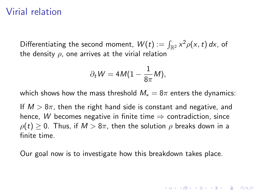#### Virial relation

Differentiating the second moment,  $W(t):=\int_{\mathbb{R}^2}x^2\rho(x,t)\,dx$ , of the density  $\rho$ , one arrives at the virial relation

$$
\partial_t W = 4M(1-\frac{1}{8\pi}M),
$$

which shows how the mass threshold  $M_* = 8\pi$  enters the dynamics:

If  $M > 8\pi$ , then the right hand side is constant and negative, and hence, W becomes negative in finite time  $\Rightarrow$  contradiction, since  $\rho(t) \geq 0$ . Thus, if  $M > 8\pi$ , then the solution  $\rho$  breaks down in a finite time.

Our goal now is to investigate how this breakdown takes place.

**KORKAR KERKER EL VOLO**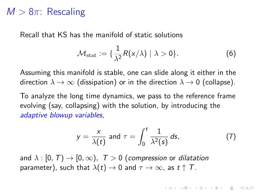### $M > 8\pi$ : Rescaling

Recall that KS has the manifold of static solutions

$$
\mathcal{M}_{\text{stat}} := \{ \frac{1}{\lambda^2} R(x/\lambda) \mid \lambda > 0 \}. \tag{6}
$$

Assuming this manifold is stable, one can slide along it either in the direction  $\lambda \to \infty$  (dissipation) or in the direction  $\lambda \to 0$  (collapse).

To analyze the long time dynamics, we pass to the reference frame evolving (say, collapsing) with the solution, by introducing the adaptive blowup variables,

$$
y = \frac{x}{\lambda(t)} \text{ and } \tau = \int_0^t \frac{1}{\lambda^2(s)} ds,
$$
 (7)

**KORKAR KERKER EL VOLO** 

and  $\lambda : [0, T] \rightarrow [0, \infty)$ ,  $T > 0$  (compression or dilatation parameter), such that  $\lambda(t) \to 0$  and  $\tau \to \infty$ , as  $t \uparrow T$ .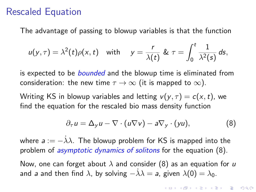#### Rescaled Equation

The advantage of passing to blowup variables is that the function

$$
u(y,\tau)=\lambda^2(t)\rho(x,t) \quad \text{with} \quad y=\frac{r}{\lambda(t)} \& \tau=\int_0^t \frac{1}{\lambda^2(s)} ds,
$$

is expected to be *bounded* and the blowup time is eliminated from consideration: the new time  $\tau \to \infty$  (it is mapped to  $\infty$ ).

Writing KS in blowup variables and letting  $v(y, \tau) = c(x, t)$ , we find the equation for the rescaled bio mass density function

<span id="page-11-0"></span>
$$
\partial_{\tau} u = \Delta_{y} u - \nabla \cdot (u \nabla v) - a \nabla_{y} \cdot (yu), \qquad (8)
$$

where  $a:=-\dot\lambda\lambda.$  The blowup problem for KS is mapped into the problem of *asymptotic dynamics of solitons* for the equation [\(8\)](#page-11-0).

Now, one can forget about  $\lambda$  and consider [\(8\)](#page-11-0) as an equation for u and a and then find  $\lambda$ , by solving  $-\lambda\lambda = a$ , given  $\lambda(0) = \lambda_0$ .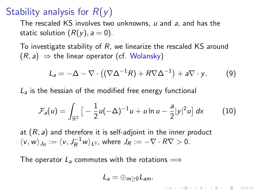# Stability analysis for  $R(y)$

The rescaled KS involves two unknowns,  $u$  and  $a$ , and has the static solution  $(R(y), a = 0)$ .

To investigate stability of  $R$ , we linearize the rescaled KS around  $(R, a) \Rightarrow$  the linear operator (cf. Wolansky)

$$
L_a = -\Delta - \nabla \cdot ((\nabla \Delta^{-1} R) + R \nabla \Delta^{-1}) + a \nabla \cdot y. \tag{9}
$$

 $L<sub>a</sub>$  is the hessian of the modified free energy functional

$$
\mathcal{F}_a(u) = \int_{\mathbb{R}^2} \left[ -\frac{1}{2} u(-\Delta)^{-1} u + u \ln u - \frac{a}{2} |y|^2 u \right] dx \tag{10}
$$

at  $(R, a)$  and therefore it is self-adjoint in the inner product  $\langle v, w \rangle_{J_R} := \langle v, J_R^{-1} w \rangle_{L^2}$ , where  $J_R := -\nabla \cdot R \nabla > 0$ .

The operator  $L_a$  commutes with the rotations  $\implies$ 

$$
L_a=\oplus_{m\geq 0}L_{am}.
$$

**KORKAR KERKER EL VOLO**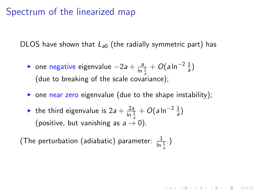### Spectrum of the linearized map

DLOS have shown that  $L_{a0}$  (the radially symmetric part) has

- ► one negative eigenvalue  $-2a + \frac{a}{\ln \frac{1}{2}} + O(a \ln^{-2} \frac{1}{a})$ a (due to breaking of the scale covariance);
- $\triangleright$  one near zero eigenvalue (due to the shape instability);

**AD A 4 4 4 5 A 5 A 5 A 4 D A 4 D A 4 P A 4 5 A 4 5 A 5 A 4 A 4 A 4 A** 

► the third eigenvalue is  $2a + \frac{2a}{\ln \frac{1}{a}} + O(a \ln^{-2} \frac{1}{a})$ (positive, but vanishing as  $a \rightarrow 0$ ).

(The perturbation (adiabatic) parameter:  $\frac{1}{\ln \frac{1}{\tilde{\sigma}}}.$ )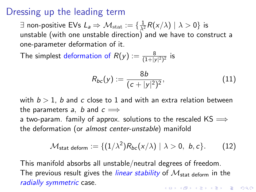#### Dressing up the leading term

 $\exists$  non-positive EVs  $L_a \Rightarrow \mathcal{M}_{\text{stat}} := \{ \frac{1}{\lambda^2} R(x/\lambda) \mid \lambda > 0 \}$  is unstable (with one unstable direction) and we have to construct a one-parameter deformation of it.

The simplest deformation of  $R(\mathsf{y}) := \frac{8}{(1+|\mathsf{y}|^2)^2}$  is

$$
R_{bc}(y) := \frac{8b}{(c+|y|^2)^2},\tag{11}
$$

with  $b > 1$ , b and c close to 1 and with an extra relation between the parameters a, b and  $c \implies$ a two-param. family of approx. solutions to the rescaled  $KS \implies$ 

the deformation (or almost center-unstable) manifold

$$
\mathcal{M}_{\text{stat deform}} := \{ (1/\lambda^2) R_{bc}(x/\lambda) \mid \lambda > 0, b, c \}. \tag{12}
$$

This manifold absorbs all unstable/neutral degrees of freedom. The previous result gives the *linear stability* of  $\mathcal{M}_{\text{stat}}$  deform in the radially symmetric case. **AD A 4 4 4 5 A 5 A 5 A 4 D A 4 D A 4 P A 4 5 A 4 5 A 5 A 4 A 4 A 4 A**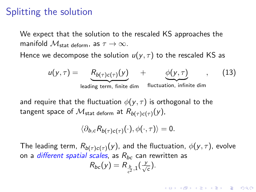#### Splitting the solution

We expect that the solution to the rescaled KS approaches the manifold  $\mathcal{M}_{\text{stat}}$  deform, as  $\tau \to \infty$ .

Hence we decompose the solution  $u(y, \tau)$  to the rescaled KS as

$$
u(y,\tau) = \underbrace{R_{b(\tau)c(\tau)}(y)}_{\text{leading term, finite dim}} + \underbrace{\phi(y,\tau)}_{\text{fluctuation, infinite dim}}, \qquad (13)
$$

and require that the fluctuation  $\phi(y, \tau)$  is orthogonal to the tangent space of  $\mathcal{M}_{\mathsf{stat}}$  <sub>deform</sub> at  $R_{b(\tau) c(\tau)}(y)$ ,

$$
\langle \partial_{b,c} R_{b(\tau)c(\tau)}(\cdot), \phi(\cdot, \tau) \rangle = 0.
$$

The leading term,  $R_{b(\tau)c(\tau)}(y)$ , and the fluctuation,  $\phi(y,\tau)$ , evolve on a *different spatial scales*, as  $R_{bc}$  can rewritten as y

**KORKAR KERKER EL VOLO** 

$$
R_{bc}(y)=R_{\frac{b}{c^2},1}(\frac{y}{\sqrt{c}}).
$$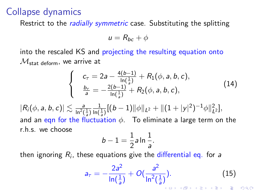#### Collapse dynamics

Restrict to the *radially symmetric* case. Substituting the splitting

$$
u=R_{bc}+\phi
$$

into the rescaled KS and projecting the resulting equation onto  $\mathcal{M}_{\text{stat}}$  deform, we arrive at

$$
\begin{cases}\n c_{\tau} = 2a - \frac{4(b-1)}{\ln(\frac{1}{a})} + R_1(\phi, a, b, c), \\
\frac{b_{\tau}}{a} = -\frac{2(b-1)}{\ln(\frac{1}{a})} + R_2(\phi, a, b, c),\n\end{cases}
$$
\n(14)

 $|R_i(\phi, a, b, c)| \lesssim \frac{a}{\ln^2(\frac{1}{a})}$  $\frac{1}{\ln(\frac{1}{a})}[(b-1)\|\phi\|_{L^2}+\|(1+|y|^2)^{-1}\phi\|_{L^2}^2],$ and an eqn for the fluctuation  $\phi$ . To eliminate a large term on the r.h.s. we choose

$$
b-1=\frac{1}{2}a\ln\frac{1}{a}.
$$

then ignoring  $R_i$ , these equations give the differential eq. for  $\emph{a}$ 

$$
a_{\tau} = -\frac{2a^2}{\ln(\frac{1}{a})} + O(\frac{a^2}{\ln^2(\frac{1}{a})}).
$$
\n(15)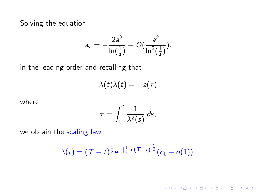Solving the equation

$$
a_{\tau} = -\frac{2a^2}{\ln(\frac{1}{a})} + O(\frac{a^2}{\ln^2(\frac{1}{a})}).
$$

in the leading order and recalling that

$$
\lambda(t)\dot{\lambda}(t)=-a(\tau)
$$

where

$$
\tau = \int_0^t \frac{1}{\lambda^2(s)} ds,
$$

we obtain the scaling law

$$
\lambda(t)=(T-t)^{\frac{1}{2}}e^{-|\frac{1}{2}\ln(T-t)|^{\frac{1}{2}}}(c_1+o(1)).
$$

K ロ K K (P) K (E) K (E) X (E) X (P) K (P)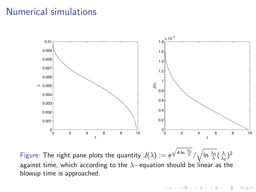#### Numerical simulations



Figure: The right pane plots the quantity  $J(\lambda):=e^{\sqrt{4\ln{\frac{\lambda_0}{\lambda}}}}/\sqrt{\ln{\frac{\lambda_0}{\lambda}}}(\frac{\lambda}{\lambda_0})^2$ against time, which according to the  $\lambda$ -equation should be linear as the blowup time is approached.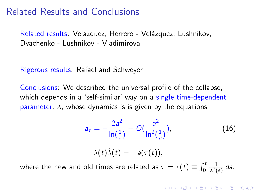#### Related Results and Conclusions

Related results: Velázquez, Herrero - Velázquez, Lushnikov, Dyachenko - Lushnikov - Vladimirova

Rigorous results: Rafael and Schweyer

Conclusions: We described the universal profile of the collapse, which depends in a 'self-similar' way on a single time-dependent parameter,  $\lambda$ , whose dynamics is is given by the equations

$$
a_{\tau} = -\frac{2a^2}{\ln\left(\frac{1}{a}\right)} + O\left(\frac{a^2}{\ln^2\left(\frac{1}{a}\right)}\right),\tag{16}
$$

$$
\lambda(t)\dot{\lambda}(t) = -a(\tau(t)),
$$

**KORKAR KERKER EL VOLO** 

where the new and old times are related as  $\tau=\tau(t)\equiv\int_0^t$  $\frac{1}{\lambda^2(s)}$  ds.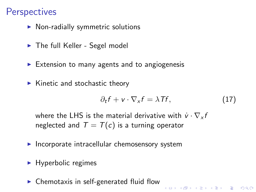# **Perspectives**

- $\triangleright$  Non-radially symmetric solutions
- $\blacktriangleright$  The full Keller Segel model
- $\triangleright$  Extension to many agents and to angiogenesis
- $\blacktriangleright$  Kinetic and stochastic theory

$$
\partial_t f + \mathbf{v} \cdot \nabla_x f = \lambda \mathcal{T} f,\tag{17}
$$

KID KA KERKER E VOOR

where the LHS is the material derivative with  $\dot{v} \cdot \nabla v f$ neglected and  $T = T(c)$  is a turning operator

- $\blacktriangleright$  Incorporate intracellular chemosensory system
- $\blacktriangleright$  Hyperbolic regimes
- $\triangleright$  Chemotaxis in self-generated fluid flow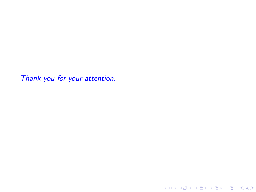Thank-you for your attention.

KID KAR KE KE KE A BI YA GI